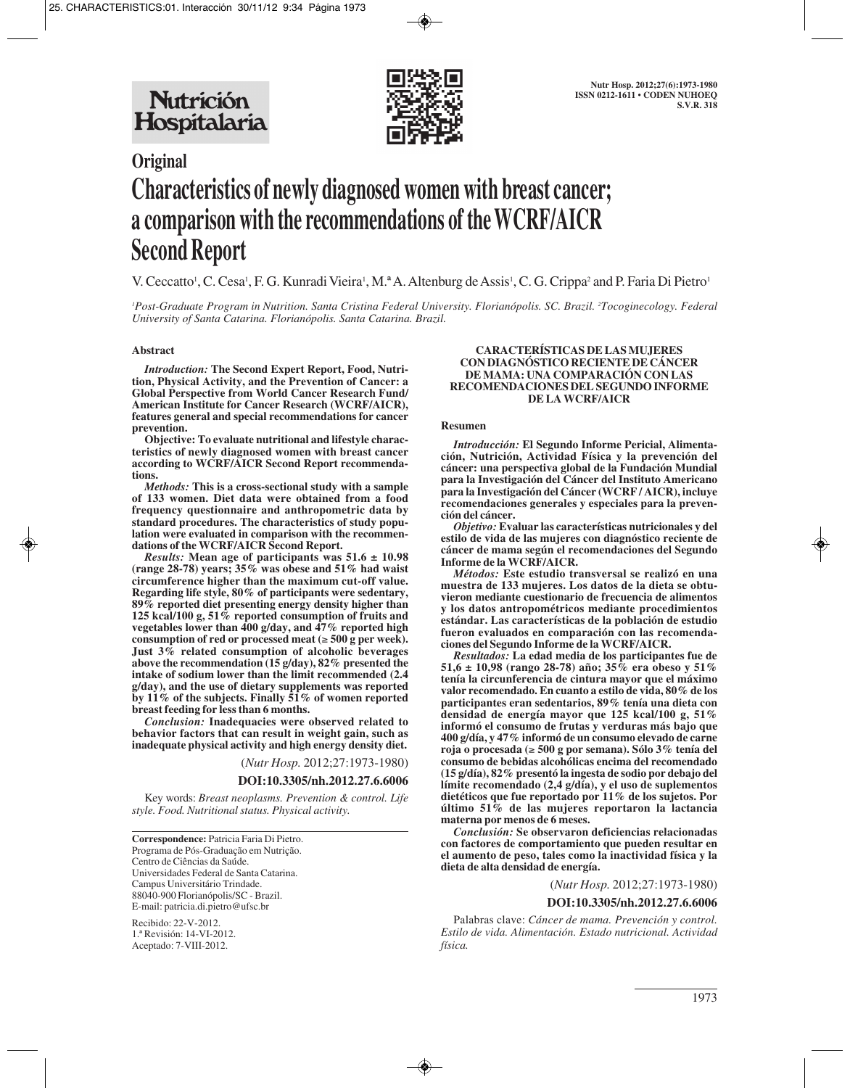



# **Original Characteristics of newly diagnosed women with breast cancer; a comparison with the recommendations of the WCRF/AICR Second Report**

V. Ceccatto<sup>1</sup>, C. Cesa<sup>1</sup>, F. G. Kunradi Vieira<sup>1</sup>, M.ª A. Altenburg de Assis<sup>1</sup>, C. G. Crippa<sup>2</sup> and P. Faria Di Pietro<sup>1</sup>

*1 Post-Graduate Program in Nutrition. Santa Cristina Federal University. Florianópolis. SC. Brazil. 2 Tocoginecology. Federal University of Santa Catarina. Florianópolis. Santa Catarina. Brazil.*

### **Abstract**

*Introduction:* **The Second Expert Report, Food, Nutrition, Physical Activity, and the Prevention of Cancer: a Global Perspective from World Cancer Research Fund/ American Institute for Cancer Research (WCRF/AICR), features general and special recommendations for cancer prevention.**

**Objective: To evaluate nutritional and lifestyle characteristics of newly diagnosed women with breast cancer according to WCRF/AICR Second Report recommendations.**

*Methods:* **This is a cross-sectional study with a sample of 133 women. Diet data were obtained from a food frequency questionnaire and anthropometric data by standard procedures. The characteristics of study population were evaluated in comparison with the recommendations of the WCRF/AICR Second Report.** 

*Results:* **Mean age of participants was 51.6 ± 10.98 (range 28-78) years; 35% was obese and 51% had waist circumference higher than the maximum cut-off value. Regarding life style, 80% of participants were sedentary, 89% reported diet presenting energy density higher than 125 kcal/100 g, 51% reported consumption of fruits and vegetables lower than 400 g/day, and 47% reported high consumption of red or processed meat (**≥ **500 g per week). Just 3% related consumption of alcoholic beverages above the recommendation (15 g/day), 82% presented the intake of sodium lower than the limit recommended (2.4 g/day), and the use of dietary supplements was reported by 11% of the subjects. Finally 51% of women reported breast feeding for less than 6 months.**

*Conclusion:* **Inadequacies were observed related to behavior factors that can result in weight gain, such as inadequate physical activity and high energy density diet.** 

(*Nutr Hosp.* 2012;27:1973-1980)

**DOI:10.3305/nh.2012.27.6.6006**

Key words: *Breast neoplasms. Prevention & control. Life style. Food. Nutritional status. Physical activity.*

**Correspondence:** Patricia Faria Di Pietro. Programa de Pós-Graduação em Nutrição. Centro de Ciências da Saúde. Universidades Federal de Santa Catarina. Campus Universitário Trindade. 88040-900 Florianópolis/SC - Brazil. E-mail: patricia.di.pietro@ufsc.br

Recibido: 22-V-2012. 1.ª Revisión: 14-VI-2012. Aceptado: 7-VIII-2012.

#### **CARACTERÍSTICAS DE LAS MUJERES CON DIAGNÓSTICO RECIENTE DE CÁNCER DE MAMA: UNA COMPARACIÓN CON LAS RECOMENDACIONES DEL SEGUNDO INFORME DE LA WCRF/AICR**

#### **Resumen**

*Introducción:* **El Segundo Informe Pericial, Alimentación, Nutrición, Actividad Física y la prevención del cáncer: una perspectiva global de la Fundación Mundial para la Investigación del Cáncer del Instituto Americano para la Investigación del Cáncer (WCRF / AICR), incluye recomendaciones generales y especiales para la prevención del cáncer.** 

*Objetivo:* **Evaluar las características nutricionales y del estilo de vida de las mujeres con diagnóstico reciente de cáncer de mama según el recomendaciones del Segundo Informe de la WCRF/AICR.**

*Métodos:* **Este estudio transversal se realizó en una muestra de 133 mujeres. Los datos de la dieta se obtuvieron mediante cuestionario de frecuencia de alimentos y los datos antropométricos mediante procedimientos estándar. Las características de la población de estudio fueron evaluados en comparación con las recomendaciones del Segundo Informe de la WCRF/AICR.** 

*Resultados:* **La edad media de los participantes fue de 51,6 ± 10,98 (rango 28-78) año; 35% era obeso y 51% tenía la circunferencia de cintura mayor que el máximo valor recomendado. En cuanto a estilo de vida, 80% de los participantes eran sedentarios, 89% tenía una dieta con densidad de energía mayor que 125 kcal/100 g, 51% informó el consumo de frutas y verduras más bajo que 400 g/día, y 47% informó de un consumo elevado de carne roja o procesada (**≥ **500 g por semana). Sólo 3% tenía del consumo de bebidas alcohólicas encima del recomendado (15 g/día), 82% presentó la ingesta de sodio por debajo del límite recomendado (2,4 g/día), y el uso de suplementos dietéticos que fue reportado por 11% de los sujetos. Por último 51% de las mujeres reportaron la lactancia materna por menos de 6 meses.**

*Conclusión:* **Se observaron deficiencias relacionadas con factores de comportamiento que pueden resultar en el aumento de peso, tales como la inactividad física y la dieta de alta densidad de energía.** 

(*Nutr Hosp.* 2012;27:1973-1980)

#### **DOI:10.3305/nh.2012.27.6.6006**

Palabras clave: *Cáncer de mama. Prevención y control. Estilo de vida. Alimentación. Estado nutricional. Actividad física.*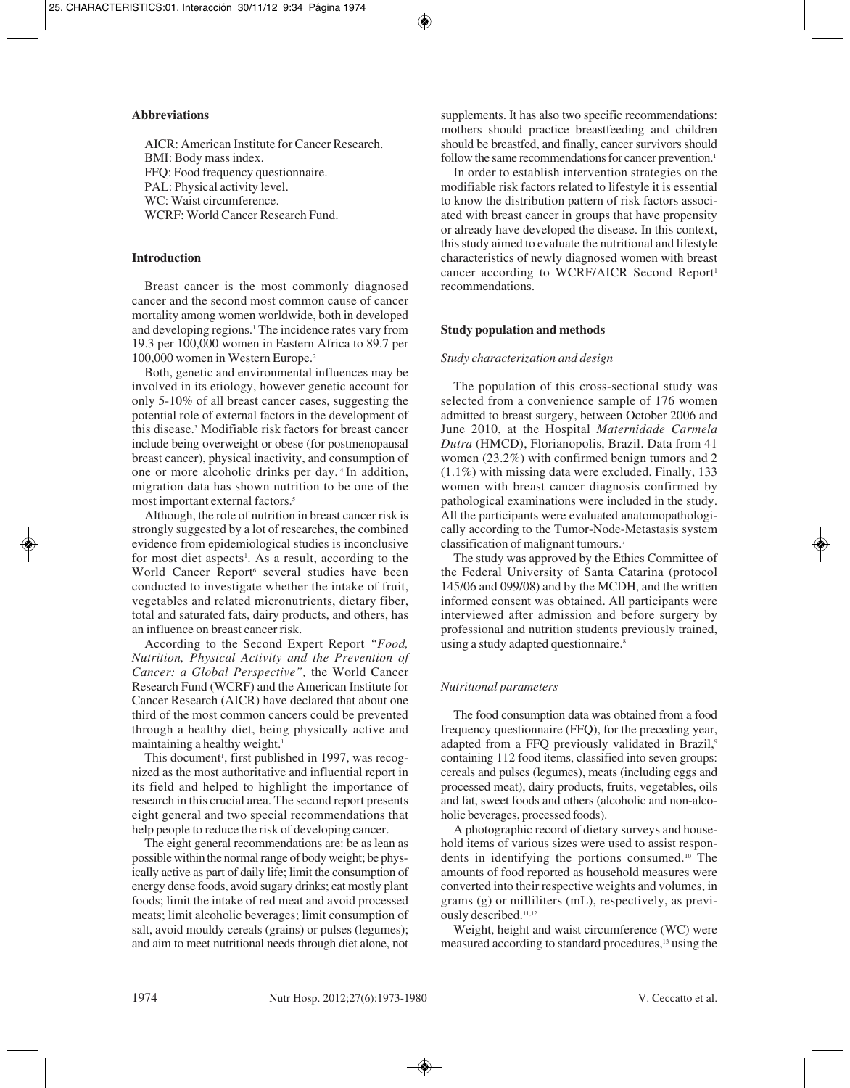## **Abbreviations**

AICR: American Institute for Cancer Research. BMI: Body mass index. FFQ: Food frequency questionnaire. PAL: Physical activity level. WC: Waist circumference. WCRF: World Cancer Research Fund.

## **Introduction**

Breast cancer is the most commonly diagnosed cancer and the second most common cause of cancer mortality among women worldwide, both in developed and developing regions.<sup>1</sup> The incidence rates vary from 19.3 per 100,000 women in Eastern Africa to 89.7 per 100,000 women in Western Europe.2

Both, genetic and environmental influences may be involved in its etiology, however genetic account for only 5-10% of all breast cancer cases, suggesting the potential role of external factors in the development of this disease.3 Modifiable risk factors for breast cancer include being overweight or obese (for postmenopausal breast cancer), physical inactivity, and consumption of one or more alcoholic drinks per day. 4 In addition, migration data has shown nutrition to be one of the most important external factors.<sup>5</sup>

Although, the role of nutrition in breast cancer risk is strongly suggested by a lot of researches, the combined evidence from epidemiological studies is inconclusive for most diet aspects<sup>1</sup>. As a result, according to the World Cancer Report<sup>6</sup> several studies have been conducted to investigate whether the intake of fruit, vegetables and related micronutrients, dietary fiber, total and saturated fats, dairy products, and others, has an influence on breast cancer risk.

According to the Second Expert Report *"Food, Nutrition, Physical Activity and the Prevention of Cancer: a Global Perspective",* the World Cancer Research Fund (WCRF) and the American Institute for Cancer Research (AICR) have declared that about one third of the most common cancers could be prevented through a healthy diet, being physically active and maintaining a healthy weight.<sup>1</sup>

This document<sup>1</sup>, first published in 1997, was recognized as the most authoritative and influential report in its field and helped to highlight the importance of research in this crucial area. The second report presents eight general and two special recommendations that help people to reduce the risk of developing cancer.

The eight general recommendations are: be as lean as possible within the normal range of body weight; be physically active as part of daily life; limit the consumption of energy dense foods, avoid sugary drinks; eat mostly plant foods; limit the intake of red meat and avoid processed meats; limit alcoholic beverages; limit consumption of salt, avoid mouldy cereals (grains) or pulses (legumes); and aim to meet nutritional needs through diet alone, not

supplements. It has also two specific recommendations: mothers should practice breastfeeding and children should be breastfed, and finally, cancer survivors should follow the same recommendations for cancer prevention.<sup>1</sup>

In order to establish intervention strategies on the modifiable risk factors related to lifestyle it is essential to know the distribution pattern of risk factors associated with breast cancer in groups that have propensity or already have developed the disease. In this context, this study aimed to evaluate the nutritional and lifestyle characteristics of newly diagnosed women with breast cancer according to WCRF/AICR Second Report<sup>1</sup> recommendations.

# **Study population and methods**

# *Study characterization and design*

The population of this cross-sectional study was selected from a convenience sample of 176 women admitted to breast surgery, between October 2006 and June 2010, at the Hospital *Maternidade Carmela Dutra* (HMCD), Florianopolis, Brazil. Data from 41 women (23.2%) with confirmed benign tumors and 2 (1.1%) with missing data were excluded. Finally, 133 women with breast cancer diagnosis confirmed by pathological examinations were included in the study. All the participants were evaluated anatomopathologically according to the Tumor-Node-Metastasis system classification of malignant tumours.7

The study was approved by the Ethics Committee of the Federal University of Santa Catarina (protocol 145/06 and 099/08) and by the MCDH, and the written informed consent was obtained. All participants were interviewed after admission and before surgery by professional and nutrition students previously trained, using a study adapted questionnaire.<sup>8</sup>

# *Nutritional parameters*

The food consumption data was obtained from a food frequency questionnaire (FFQ), for the preceding year, adapted from a FFQ previously validated in Brazil,9 containing 112 food items, classified into seven groups: cereals and pulses (legumes), meats (including eggs and processed meat), dairy products, fruits, vegetables, oils and fat, sweet foods and others (alcoholic and non-alcoholic beverages, processed foods).

A photographic record of dietary surveys and household items of various sizes were used to assist respondents in identifying the portions consumed.10 The amounts of food reported as household measures were converted into their respective weights and volumes, in grams (g) or milliliters (mL), respectively, as previously described.<sup>11,12</sup>

Weight, height and waist circumference (WC) were measured according to standard procedures,<sup>13</sup> using the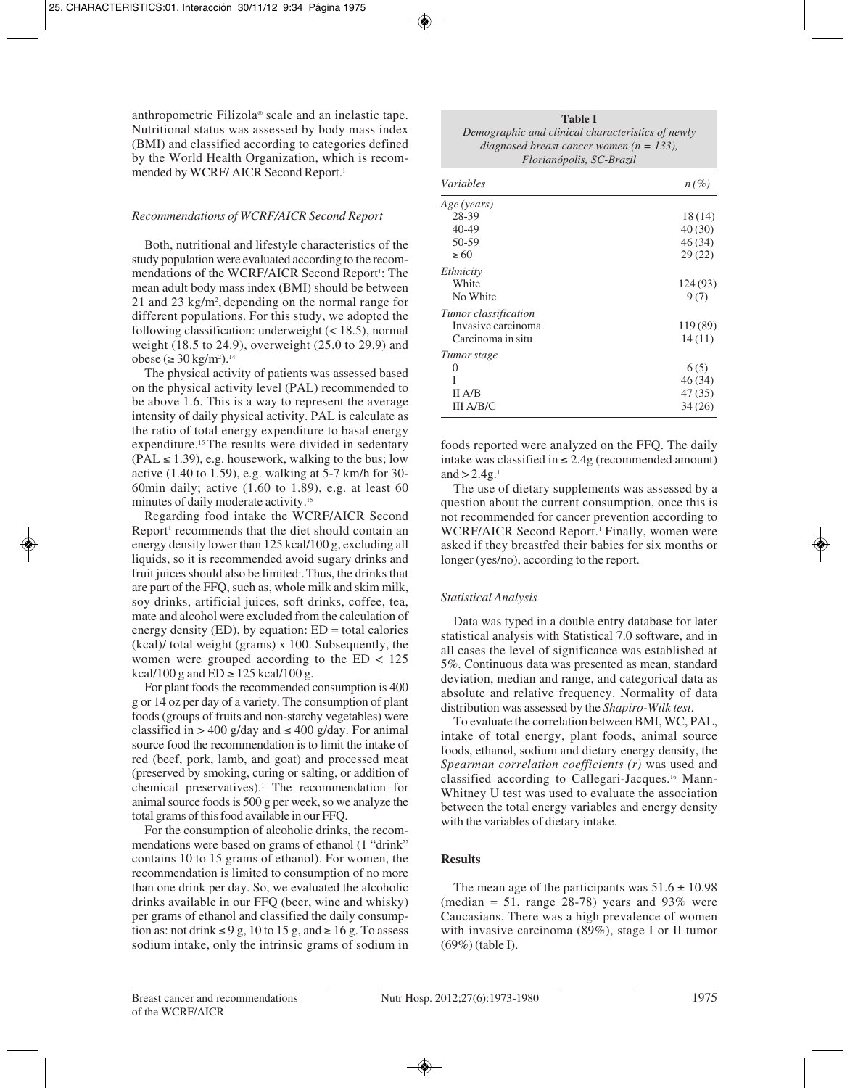anthropometric Filizola® scale and an inelastic tape. Nutritional status was assessed by body mass index (BMI) and classified according to categories defined by the World Health Organization, which is recommended by WCRF/AICR Second Report.<sup>1</sup>

## *Recommendations of WCRF/AICR Second Report*

Both, nutritional and lifestyle characteristics of the study population were evaluated according to the recommendations of the WCRF/AICR Second Report<sup>1</sup>: The mean adult body mass index (BMI) should be between 21 and 23 kg/m<sup>2</sup>, depending on the normal range for different populations. For this study, we adopted the following classification: underweight (< 18.5), normal weight (18.5 to 24.9), overweight (25.0 to 29.9) and obese (≥ 30 kg/m<sup>2</sup>).<sup>14</sup>

The physical activity of patients was assessed based on the physical activity level (PAL) recommended to be above 1.6. This is a way to represent the average intensity of daily physical activity. PAL is calculate as the ratio of total energy expenditure to basal energy expenditure.<sup>15</sup> The results were divided in sedentary  $(PAL \le 1.39)$ , e.g. housework, walking to the bus; low active (1.40 to 1.59), e.g. walking at 5-7 km/h for 30- 60min daily; active  $(1.60 \text{ to } 1.89)$ , e.g. at least 60 minutes of daily moderate activity.15

Regarding food intake the WCRF/AICR Second Report<sup>1</sup> recommends that the diet should contain an energy density lower than 125 kcal/100 g, excluding all liquids, so it is recommended avoid sugary drinks and fruit juices should also be limited<sup>1</sup>. Thus, the drinks that are part of the FFQ, such as, whole milk and skim milk, soy drinks, artificial juices, soft drinks, coffee, tea, mate and alcohol were excluded from the calculation of energy density  $(ED)$ , by equation:  $ED = total$  calories (kcal)/ total weight (grams) x 100. Subsequently, the women were grouped according to the  $ED < 125$ kcal/100 g and  $ED \ge 125$  kcal/100 g.

For plant foods the recommended consumption is 400 g or 14 oz per day of a variety. The consumption of plant foods (groups of fruits and non-starchy vegetables) were classified in > 400 g/day and  $\leq$  400 g/day. For animal source food the recommendation is to limit the intake of red (beef, pork, lamb, and goat) and processed meat (preserved by smoking, curing or salting, or addition of chemical preservatives).<sup>1</sup> The recommendation for animal source foods is 500 g per week, so we analyze the total grams of this food available in our FFQ.

For the consumption of alcoholic drinks, the recommendations were based on grams of ethanol (1 "drink" contains 10 to 15 grams of ethanol). For women, the recommendation is limited to consumption of no more than one drink per day. So, we evaluated the alcoholic drinks available in our FFQ (beer, wine and whisky) per grams of ethanol and classified the daily consumption as: not drink  $\leq 9$  g, 10 to 15 g, and  $\geq 16$  g. To assess sodium intake, only the intrinsic grams of sodium in

| <b>Table I</b>                                    |  |  |  |  |
|---------------------------------------------------|--|--|--|--|
| Demographic and clinical characteristics of newly |  |  |  |  |
| diagnosed breast cancer women ( $n = 133$ ),      |  |  |  |  |
| Florianópolis, SC-Brazil                          |  |  |  |  |

| <b>Variables</b>     | $n(\%)$  |
|----------------------|----------|
| Age (years)          |          |
| 28-39                | 18(14)   |
| 40-49                | 40 (30)  |
| 50-59                | 46(34)   |
| $\geq 60$            | 29(22)   |
| Ethnicity            |          |
| White                | 124 (93) |
| No White             | 9(7)     |
| Tumor classification |          |
| Invasive carcinoma   | 119 (89) |
| Carcinoma in situ    | 14(11)   |
| Tumor stage          |          |
| $\mathcal{L}$        | 6(5)     |
|                      | 46(34)   |
| II A/B               | 47(35)   |
| III A/B/C            | 34(26)   |

foods reported were analyzed on the FFQ. The daily intake was classified in ≤ 2.4g (recommended amount) and  $> 2.4g$ .<sup>1</sup>

The use of dietary supplements was assessed by a question about the current consumption, once this is not recommended for cancer prevention according to WCRF/AICR Second Report.<sup>1</sup> Finally, women were asked if they breastfed their babies for six months or longer (yes/no), according to the report.

# *Statistical Analysis*

Data was typed in a double entry database for later statistical analysis with Statistical 7.0 software, and in all cases the level of significance was established at 5%. Continuous data was presented as mean, standard deviation, median and range, and categorical data as absolute and relative frequency. Normality of data distribution was assessed by the *Shapiro-Wilk test*.

To evaluate the correlation between BMI, WC, PAL, intake of total energy, plant foods, animal source foods, ethanol, sodium and dietary energy density, the *Spearman correlation coefficients (r)* was used and classified according to Callegari-Jacques.16 Mann-Whitney U test was used to evaluate the association between the total energy variables and energy density with the variables of dietary intake.

# **Results**

The mean age of the participants was  $51.6 \pm 10.98$ (median = 51, range  $28-78$ ) years and 93% were Caucasians. There was a high prevalence of women with invasive carcinoma (89%), stage I or II tumor (69%) (table I).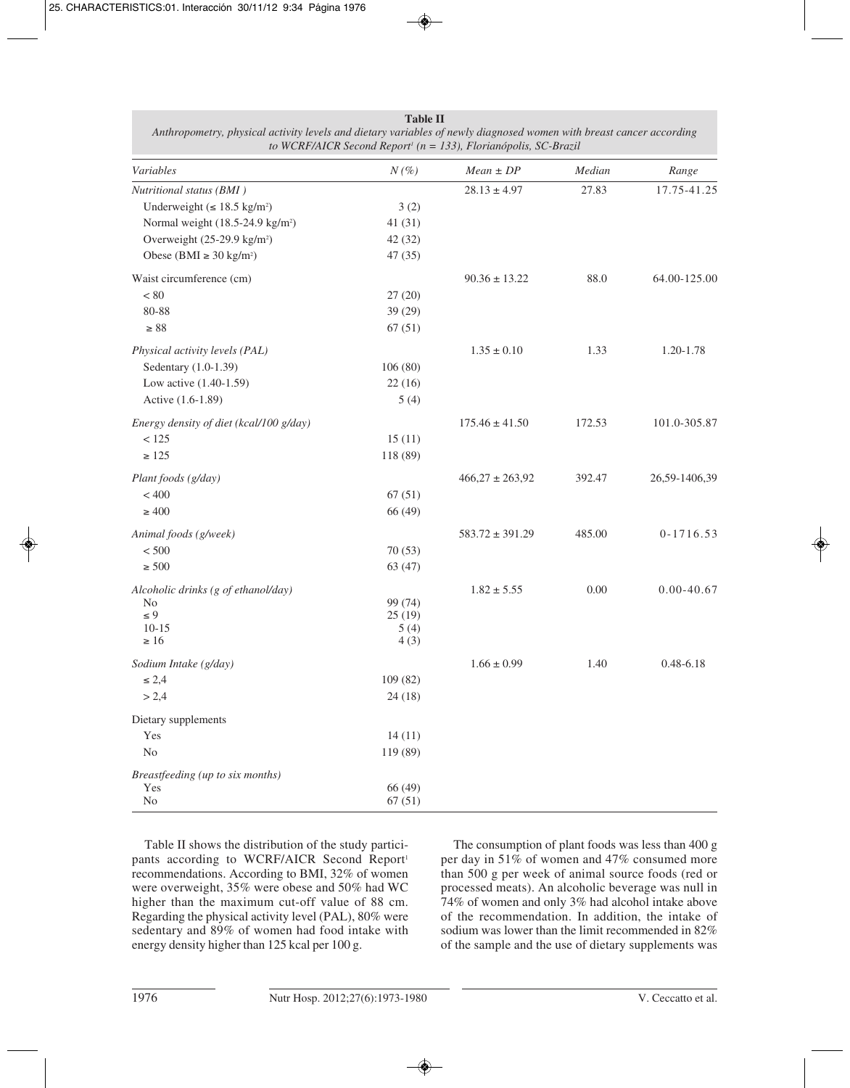| Variables                                     | $N(\%)$      | $Mean \pm DP$       | Median | Range          |
|-----------------------------------------------|--------------|---------------------|--------|----------------|
| Nutritional status (BMI)                      |              | $28.13 \pm 4.97$    | 27.83  | 17.75-41.25    |
| Underweight ( $\leq 18.5$ kg/m <sup>2</sup> ) | 3(2)         |                     |        |                |
| Normal weight (18.5-24.9 kg/m <sup>2</sup> )  | 41 (31)      |                     |        |                |
| Overweight (25-29.9 kg/m <sup>2</sup> )       | 42 (32)      |                     |        |                |
| Obese (BMI $\geq$ 30 kg/m <sup>2</sup> )      | 47(35)       |                     |        |                |
| Waist circumference (cm)                      |              | $90.36 \pm 13.22$   | 88.0   | 64.00-125.00   |
| $< 80$                                        | 27(20)       |                     |        |                |
| 80-88                                         | 39 (29)      |                     |        |                |
| $\geq 88$                                     | 67(51)       |                     |        |                |
| Physical activity levels (PAL)                |              | $1.35 \pm 0.10$     | 1.33   | 1.20-1.78      |
| Sedentary (1.0-1.39)                          | 106(80)      |                     |        |                |
| Low active (1.40-1.59)                        | 22(16)       |                     |        |                |
| Active (1.6-1.89)                             | 5(4)         |                     |        |                |
| Energy density of diet (kcal/100 g/day)       |              | $175.46 \pm 41.50$  | 172.53 | 101.0-305.87   |
| < 125                                         | 15(11)       |                     |        |                |
| $\geq 125$                                    | 118 (89)     |                     |        |                |
| Plant foods (g/day)                           |              | $466,27 \pm 263,92$ | 392.47 | 26,59-1406,39  |
| < 400                                         | 67(51)       |                     |        |                |
| $\geq 400$                                    | 66 (49)      |                     |        |                |
| Animal foods (g/week)                         |              | $583.72 \pm 391.29$ | 485.00 | $0 - 1716.53$  |
| $< 500\,$                                     | 70(53)       |                     |        |                |
| $\geq 500$                                    | 63(47)       |                     |        |                |
| Alcoholic drinks (g of ethanol/day)           |              | $1.82 \pm 5.55$     | 0.00   | $0.00 - 40.67$ |
| N <sub>0</sub>                                | 99 (74)      |                     |        |                |
| $\leq 9$                                      | 25(19)       |                     |        |                |
| $10 - 15$<br>$\geq 16$                        | 5(4)<br>4(3) |                     |        |                |
|                                               |              |                     |        |                |
| Sodium Intake (g/day)                         |              | $1.66 \pm 0.99$     | 1.40   | $0.48 - 6.18$  |
| $\leq 2,4$                                    | 109(82)      |                     |        |                |
| > 2,4                                         | 24(18)       |                     |        |                |
| Dietary supplements                           |              |                     |        |                |
| Yes                                           | 14(11)       |                     |        |                |
| $\rm No$                                      | 119 (89)     |                     |        |                |
| Breastfeeding (up to six months)              |              |                     |        |                |
| Yes                                           | 66 (49)      |                     |        |                |
| No                                            | 67(51)       |                     |        |                |

**Table II** *Anthropometry, physical activity levels and dietary variables of newly diagnosed women with breast cancer according to WCRF/AICR Second Report1 (n = 133), Florianópolis, SC-Brazil*

Table II shows the distribution of the study participants according to WCRF/AICR Second Report<sup>1</sup> recommendations. According to BMI, 32% of women were overweight, 35% were obese and 50% had WC higher than the maximum cut-off value of 88 cm. Regarding the physical activity level (PAL), 80% were sedentary and 89% of women had food intake with energy density higher than 125 kcal per 100 g.

The consumption of plant foods was less than 400 g per day in 51% of women and 47% consumed more than 500 g per week of animal source foods (red or processed meats). An alcoholic beverage was null in 74% of women and only 3% had alcohol intake above of the recommendation. In addition, the intake of sodium was lower than the limit recommended in 82% of the sample and the use of dietary supplements was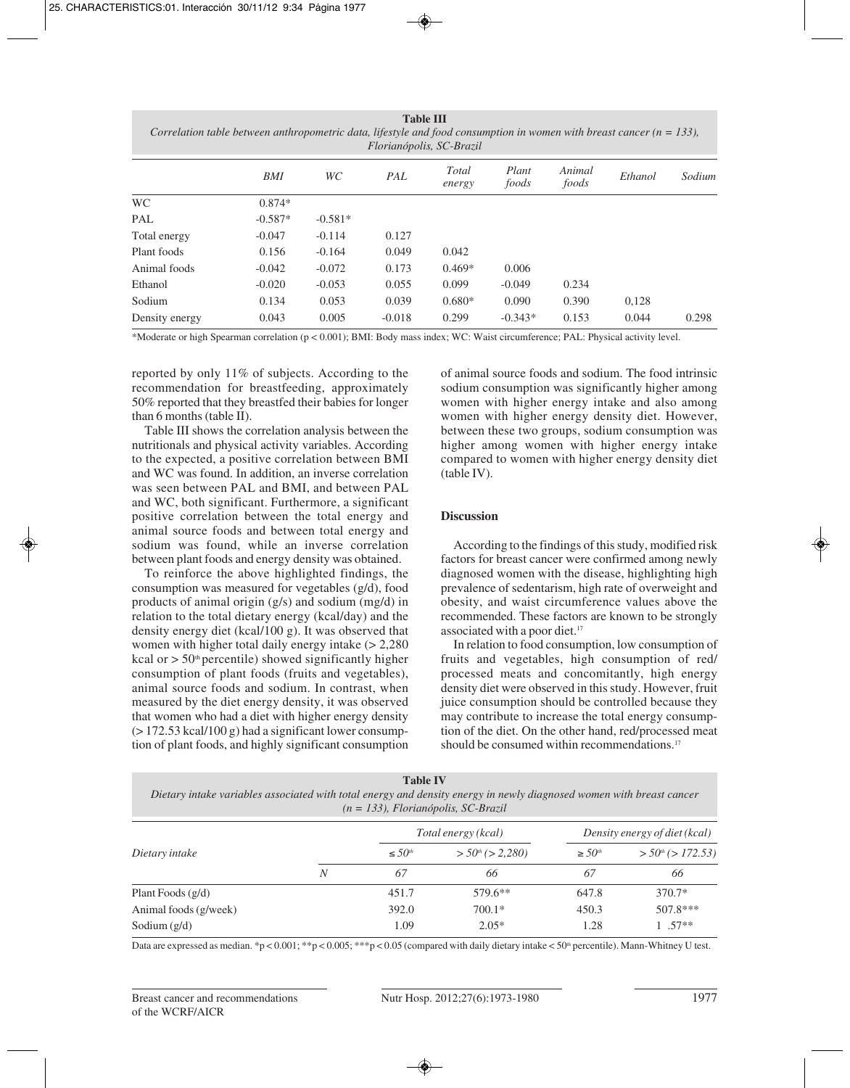**Table III** *Correlation table between anthropometric data, lifestyle and food consumption in women with breast cancer (n = 133), Florianópolis, SC-Brazil*

| WС                                     | PAL                   | <b>Total</b><br>energy | Plant<br>foods | Animal<br>foods | Ethanol | Sodium |
|----------------------------------------|-----------------------|------------------------|----------------|-----------------|---------|--------|
|                                        |                       |                        |                |                 |         |        |
| $-0.581*$                              |                       |                        |                |                 |         |        |
| $-0.114$                               | 0.127                 |                        |                |                 |         |        |
| $-0.164$                               | 0.049                 | 0.042                  |                |                 |         |        |
| $-0.072$                               | 0.173                 | $0.469*$               | 0.006          |                 |         |        |
| $-0.053$                               | 0.055                 | 0.099                  | $-0.049$       | 0.234           |         |        |
| 0.053                                  | 0.039                 | $0.680*$               | 0.090          | 0.390           | 0,128   |        |
| 0.005                                  | $-0.018$              | 0.299                  | $-0.343*$      | 0.153           | 0.044   | 0.298  |
| 0.156<br>$-0.042$<br>$-0.020$<br>0.134 | $0.874*$<br>$-0.587*$ |                        |                |                 |         |        |

\*Moderate or high Spearman correlation (p < 0.001); BMI: Body mass index; WC: Waist circumference; PAL: Physical activity level.

reported by only 11% of subjects. According to the recommendation for breastfeeding, approximately 50% reported that they breastfed their babies for longer than 6 months (table II).

Table III shows the correlation analysis between the nutritionals and physical activity variables. According to the expected, a positive correlation between BMI and WC was found. In addition, an inverse correlation was seen between PAL and BMI, and between PAL and WC, both significant. Furthermore, a significant positive correlation between the total energy and animal source foods and between total energy and sodium was found, while an inverse correlation between plant foods and energy density was obtained.

To reinforce the above highlighted findings, the consumption was measured for vegetables (g/d), food products of animal origin (g/s) and sodium (mg/d) in relation to the total dietary energy (kcal/day) and the density energy diet (kcal/100 g). It was observed that women with higher total daily energy intake (> 2,280 kcal or  $> 50<sup>th</sup>$  percentile) showed significantly higher consumption of plant foods (fruits and vegetables), animal source foods and sodium. In contrast, when measured by the diet energy density, it was observed that women who had a diet with higher energy density  $(> 172.53 \text{ kcal}/100 \text{ g})$  had a significant lower consumption of plant foods, and highly significant consumption

of animal source foods and sodium. The food intrinsic sodium consumption was significantly higher among women with higher energy intake and also among women with higher energy density diet. However, between these two groups, sodium consumption was higher among women with higher energy intake compared to women with higher energy density diet (table IV).

### **Discussion**

According to the findings of this study, modified risk factors for breast cancer were confirmed among newly diagnosed women with the disease, highlighting high prevalence of sedentarism, high rate of overweight and obesity, and waist circumference values above the recommended. These factors are known to be strongly associated with a poor diet.<sup>17</sup>

In relation to food consumption, low consumption of fruits and vegetables, high consumption of red/ processed meats and concomitantly, high energy density diet were observed in this study. However, fruit juice consumption should be controlled because they may contribute to increase the total energy consumption of the diet. On the other hand, red/processed meat should be consumed within recommendations.<sup>17</sup>

| <b>Table IV</b>                                                                                                      |  |  |  |  |  |
|----------------------------------------------------------------------------------------------------------------------|--|--|--|--|--|
| Dietary intake variables associated with total energy and density energy in newly diagnosed women with breast cancer |  |  |  |  |  |
| $(n = 133)$ , Florianópolis, SC-Brazil                                                                               |  |  |  |  |  |

|                       |   |                         | Total energy (kcal)               |             | Density energy of diet (kcal)      |  |  |
|-----------------------|---|-------------------------|-----------------------------------|-------------|------------------------------------|--|--|
| Dietary intake        |   | $\leq 50$ <sup>th</sup> | $>$ 50 <sup>th</sup> ( $>$ 2,280) | $\geq 50th$ | $>$ 50 <sup>th</sup> ( $>$ 172.53) |  |  |
|                       | N | 67                      | 66                                | 67          | 66                                 |  |  |
| Plant Foods (g/d)     |   | 451.7                   | 579.6**                           | 647.8       | $370.7*$                           |  |  |
| Animal foods (g/week) |   | 392.0                   | $700.1*$                          | 450.3       | $507.8***$                         |  |  |
| Sodium $(g/d)$        |   | 1.09                    | $2.05*$                           | 1.28        | $1.57**$                           |  |  |

Data are expressed as median. \*p < 0.001; \*\*p < 0.005; \*\*\*p < 0.05 (compared with daily dietary intake < 50th percentile). Mann-Whitney U test.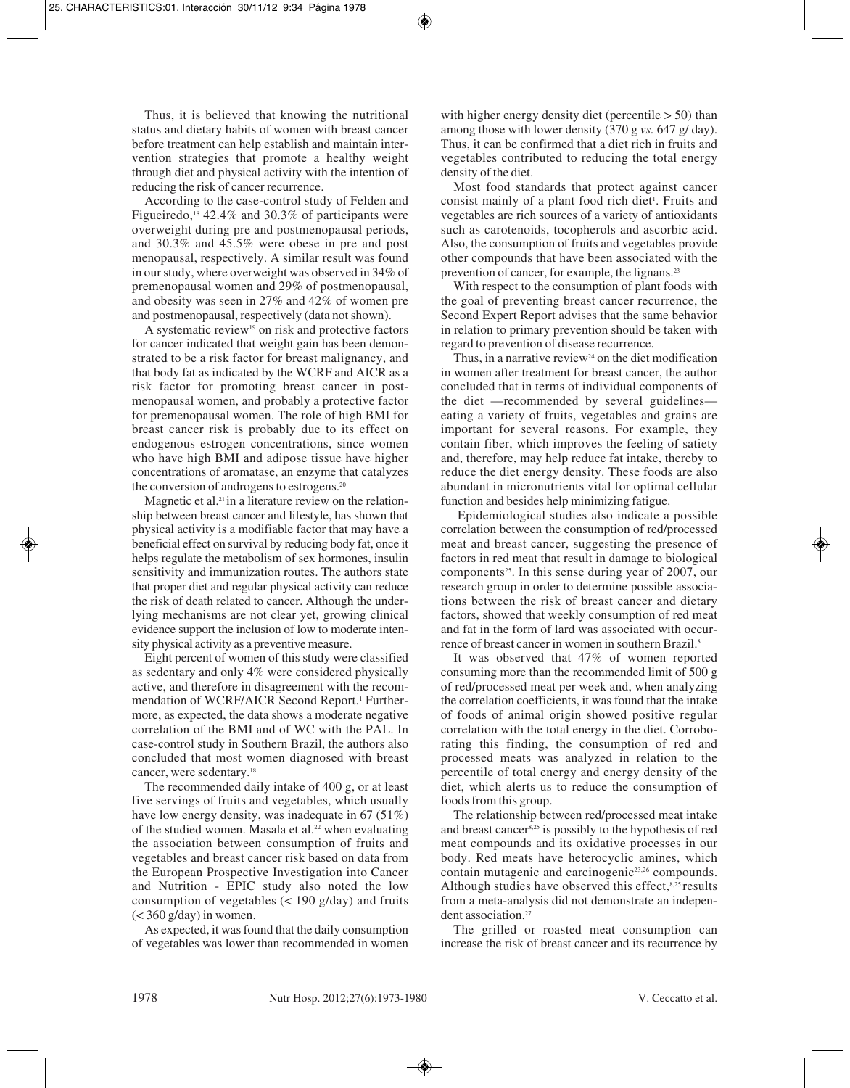Thus, it is believed that knowing the nutritional status and dietary habits of women with breast cancer before treatment can help establish and maintain intervention strategies that promote a healthy weight through diet and physical activity with the intention of reducing the risk of cancer recurrence.

According to the case-control study of Felden and Figueiredo,<sup>18</sup> 42.4% and 30.3% of participants were overweight during pre and postmenopausal periods, and 30.3% and 45.5% were obese in pre and post menopausal, respectively. A similar result was found in our study, where overweight was observed in 34% of premenopausal women and 29% of postmenopausal, and obesity was seen in 27% and 42% of women pre and postmenopausal, respectively (data not shown).

A systematic review19 on risk and protective factors for cancer indicated that weight gain has been demonstrated to be a risk factor for breast malignancy, and that body fat as indicated by the WCRF and AICR as a risk factor for promoting breast cancer in postmenopausal women, and probably a protective factor for premenopausal women. The role of high BMI for breast cancer risk is probably due to its effect on endogenous estrogen concentrations, since women who have high BMI and adipose tissue have higher concentrations of aromatase, an enzyme that catalyzes the conversion of androgens to estrogens.20

Magnetic et al.<sup>21</sup> in a literature review on the relationship between breast cancer and lifestyle, has shown that physical activity is a modifiable factor that may have a beneficial effect on survival by reducing body fat, once it helps regulate the metabolism of sex hormones, insulin sensitivity and immunization routes. The authors state that proper diet and regular physical activity can reduce the risk of death related to cancer. Although the underlying mechanisms are not clear yet, growing clinical evidence support the inclusion of low to moderate intensity physical activity as a preventive measure.

Eight percent of women of this study were classified as sedentary and only 4% were considered physically active, and therefore in disagreement with the recommendation of WCRF/AICR Second Report.<sup>1</sup> Furthermore, as expected, the data shows a moderate negative correlation of the BMI and of WC with the PAL. In case-control study in Southern Brazil, the authors also concluded that most women diagnosed with breast cancer, were sedentary.18

The recommended daily intake of 400 g, or at least five servings of fruits and vegetables, which usually have low energy density, was inadequate in 67 (51%) of the studied women. Masala et al.<sup>22</sup> when evaluating the association between consumption of fruits and vegetables and breast cancer risk based on data from the European Prospective Investigation into Cancer and Nutrition - EPIC study also noted the low consumption of vegetables  $\left($  < 190 g/day) and fruits  $(<$  360 g/day) in women.

As expected, it was found that the daily consumption of vegetables was lower than recommended in women

with higher energy density diet (percentile  $> 50$ ) than among those with lower density (370 g *vs.* 647 g/ day). Thus, it can be confirmed that a diet rich in fruits and vegetables contributed to reducing the total energy density of the diet.

Most food standards that protect against cancer consist mainly of a plant food rich diet<sup>1</sup>. Fruits and vegetables are rich sources of a variety of antioxidants such as carotenoids, tocopherols and ascorbic acid. Also, the consumption of fruits and vegetables provide other compounds that have been associated with the prevention of cancer, for example, the lignans.23

With respect to the consumption of plant foods with the goal of preventing breast cancer recurrence, the Second Expert Report advises that the same behavior in relation to primary prevention should be taken with regard to prevention of disease recurrence.

Thus, in a narrative review<sup>24</sup> on the diet modification in women after treatment for breast cancer, the author concluded that in terms of individual components of the diet —recommended by several guidelines eating a variety of fruits, vegetables and grains are important for several reasons. For example, they contain fiber, which improves the feeling of satiety and, therefore, may help reduce fat intake, thereby to reduce the diet energy density. These foods are also abundant in micronutrients vital for optimal cellular function and besides help minimizing fatigue.

Epidemiological studies also indicate a possible correlation between the consumption of red/processed meat and breast cancer, suggesting the presence of factors in red meat that result in damage to biological components<sup>25</sup>. In this sense during year of 2007, our research group in order to determine possible associations between the risk of breast cancer and dietary factors, showed that weekly consumption of red meat and fat in the form of lard was associated with occurrence of breast cancer in women in southern Brazil.8

It was observed that 47% of women reported consuming more than the recommended limit of 500 g of red/processed meat per week and, when analyzing the correlation coefficients, it was found that the intake of foods of animal origin showed positive regular correlation with the total energy in the diet. Corroborating this finding, the consumption of red and processed meats was analyzed in relation to the percentile of total energy and energy density of the diet, which alerts us to reduce the consumption of foods from this group.

The relationship between red/processed meat intake and breast cancer8,25 is possibly to the hypothesis of red meat compounds and its oxidative processes in our body. Red meats have heterocyclic amines, which contain mutagenic and carcinogenic23,26 compounds. Although studies have observed this effect, 8,25 results from a meta-analysis did not demonstrate an independent association.<sup>27</sup>

The grilled or roasted meat consumption can increase the risk of breast cancer and its recurrence by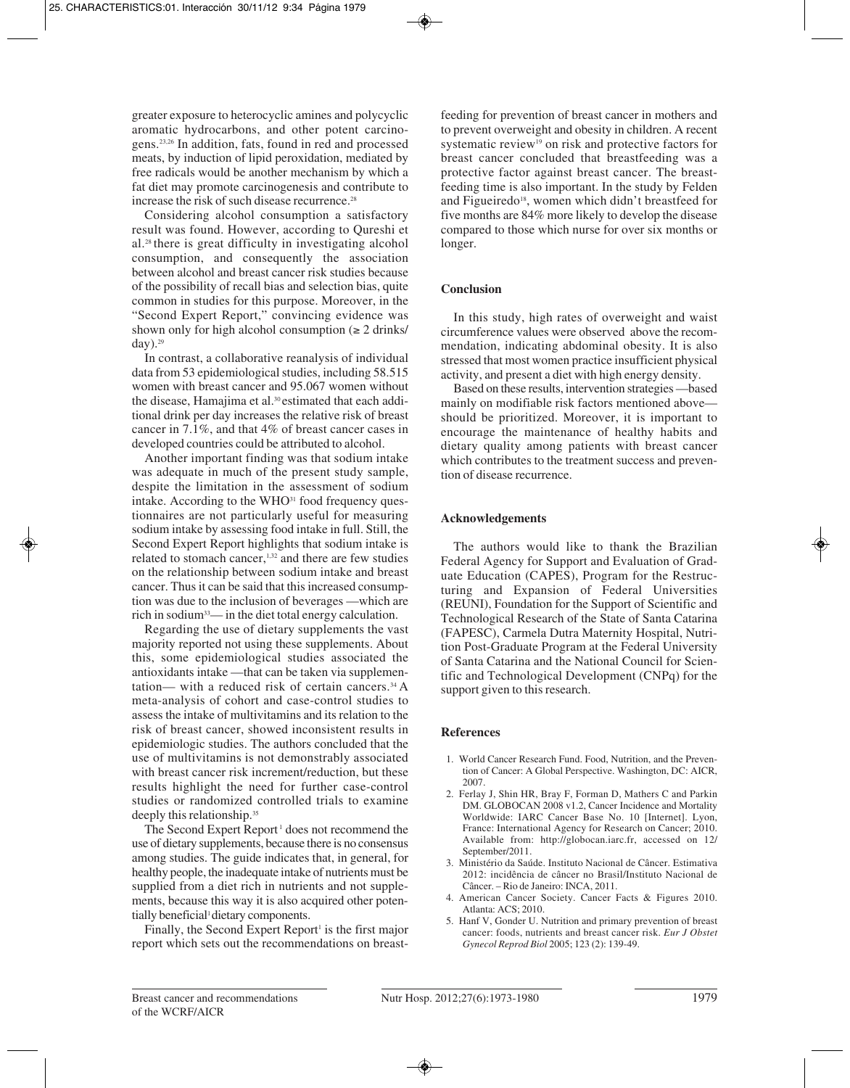greater exposure to heterocyclic amines and polycyclic aromatic hydrocarbons, and other potent carcinogens.23,26 In addition, fats, found in red and processed meats, by induction of lipid peroxidation, mediated by free radicals would be another mechanism by which a fat diet may promote carcinogenesis and contribute to increase the risk of such disease recurrence.<sup>28</sup>

Considering alcohol consumption a satisfactory result was found. However, according to Qureshi et al.28 there is great difficulty in investigating alcohol consumption, and consequently the association between alcohol and breast cancer risk studies because of the possibility of recall bias and selection bias, quite common in studies for this purpose. Moreover, in the "Second Expert Report," convincing evidence was shown only for high alcohol consumption  $(\geq 2 \text{ drinks})$  $day)$ .<sup>29</sup>

In contrast, a collaborative reanalysis of individual data from 53 epidemiological studies, including 58.515 women with breast cancer and 95.067 women without the disease, Hamajima et al.<sup>30</sup> estimated that each additional drink per day increases the relative risk of breast cancer in 7.1%, and that 4% of breast cancer cases in developed countries could be attributed to alcohol.

Another important finding was that sodium intake was adequate in much of the present study sample, despite the limitation in the assessment of sodium intake. According to the WHO<sup>31</sup> food frequency questionnaires are not particularly useful for measuring sodium intake by assessing food intake in full. Still, the Second Expert Report highlights that sodium intake is related to stomach cancer,<sup>1,32</sup> and there are few studies on the relationship between sodium intake and breast cancer. Thus it can be said that this increased consumption was due to the inclusion of beverages —which are rich in sodium33— in the diet total energy calculation.

Regarding the use of dietary supplements the vast majority reported not using these supplements. About this, some epidemiological studies associated the antioxidants intake —that can be taken via supplementation— with a reduced risk of certain cancers.<sup>34</sup> A meta-analysis of cohort and case-control studies to assess the intake of multivitamins and its relation to the risk of breast cancer, showed inconsistent results in epidemiologic studies. The authors concluded that the use of multivitamins is not demonstrably associated with breast cancer risk increment/reduction, but these results highlight the need for further case-control studies or randomized controlled trials to examine deeply this relationship.<sup>35</sup>

The Second Expert Report<sup>1</sup> does not recommend the use of dietary supplements, because there is no consensus among studies. The guide indicates that, in general, for healthy people, the inadequate intake of nutrients must be supplied from a diet rich in nutrients and not supplements, because this way it is also acquired other potentially beneficial<sup>1</sup> dietary components.

Finally, the Second Expert Report<sup>1</sup> is the first major report which sets out the recommendations on breastfeeding for prevention of breast cancer in mothers and to prevent overweight and obesity in children. A recent systematic review<sup>19</sup> on risk and protective factors for breast cancer concluded that breastfeeding was a protective factor against breast cancer. The breastfeeding time is also important. In the study by Felden and Figueiredo<sup>18</sup>, women which didn't breastfeed for five months are 84% more likely to develop the disease compared to those which nurse for over six months or longer.

## **Conclusion**

In this study, high rates of overweight and waist circumference values were observed above the recommendation, indicating abdominal obesity. It is also stressed that most women practice insufficient physical activity, and present a diet with high energy density.

Based on these results, intervention strategies —based mainly on modifiable risk factors mentioned above should be prioritized. Moreover, it is important to encourage the maintenance of healthy habits and dietary quality among patients with breast cancer which contributes to the treatment success and prevention of disease recurrence.

## **Acknowledgements**

The authors would like to thank the Brazilian Federal Agency for Support and Evaluation of Graduate Education (CAPES), Program for the Restructuring and Expansion of Federal Universities (REUNI), Foundation for the Support of Scientific and Technological Research of the State of Santa Catarina (FAPESC), Carmela Dutra Maternity Hospital, Nutrition Post-Graduate Program at the Federal University of Santa Catarina and the National Council for Scientific and Technological Development (CNPq) for the support given to this research.

#### **References**

- 1. World Cancer Research Fund. Food, Nutrition, and the Prevention of Cancer: A Global Perspective. Washington, DC: AICR, 2007.
- 2. Ferlay J, Shin HR, Bray F, Forman D, Mathers C and Parkin DM. GLOBOCAN 2008 v1.2, Cancer Incidence and Mortality Worldwide: IARC Cancer Base No. 10 [Internet]. Lyon, France: International Agency for Research on Cancer; 2010. Available from: http://globocan.iarc.fr, accessed on 12/ September/2011.
- 3. Ministério da Saúde. Instituto Nacional de Câncer. Estimativa 2012: incidência de câncer no Brasil/Instituto Nacional de Câncer. – Rio de Janeiro: INCA, 2011.
- 4. American Cancer Society. Cancer Facts & Figures 2010. Atlanta: ACS; 2010.
- 5. Hanf V, Gonder U. Nutrition and primary prevention of breast cancer: foods, nutrients and breast cancer risk. *Eur J Obstet Gynecol Reprod Biol* 2005; 123 (2): 139-49.